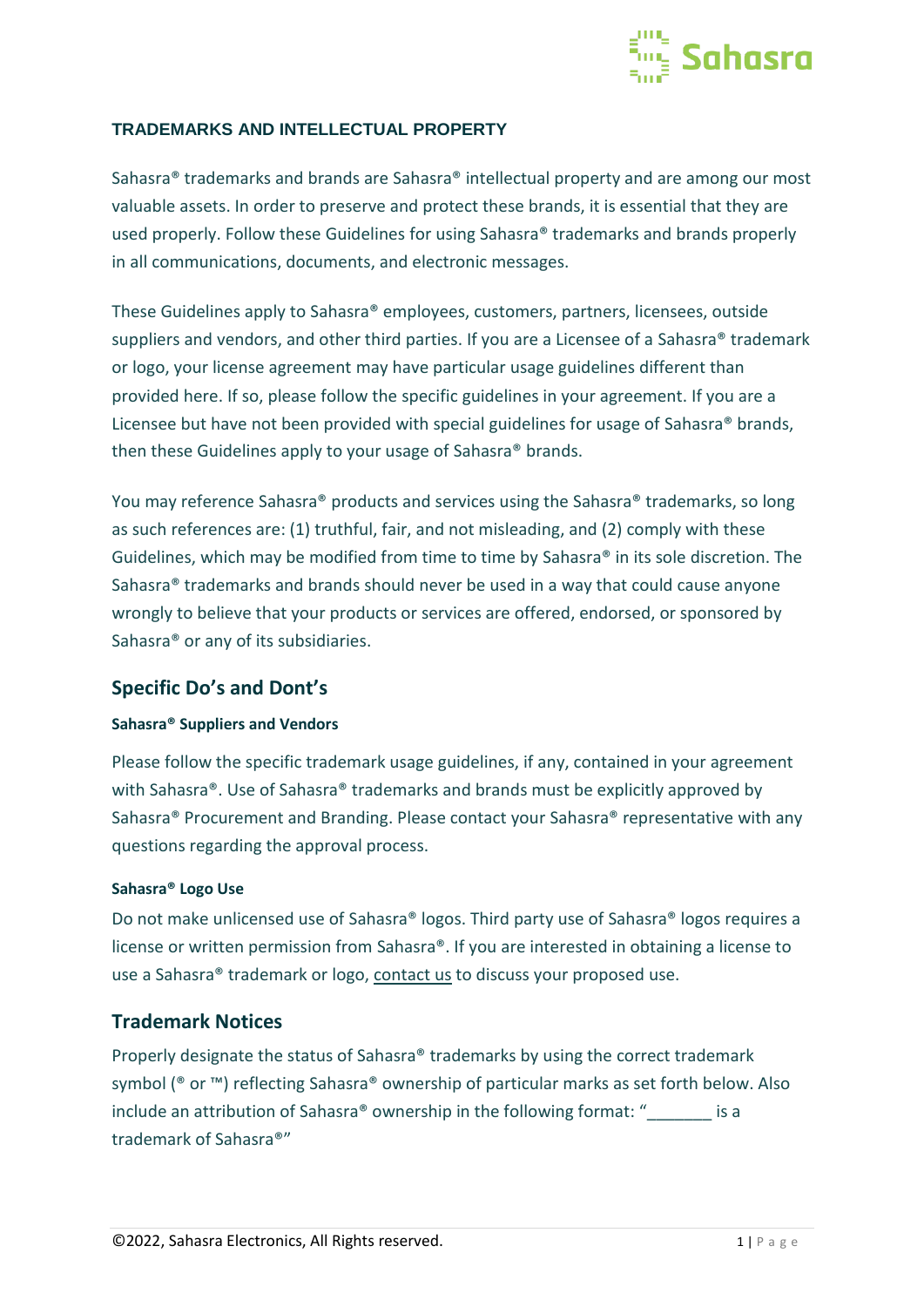

## **TRADEMARKS AND INTELLECTUAL PROPERTY**

Sahasra® trademarks and brands are Sahasra® intellectual property and are among our most valuable assets. In order to preserve and protect these brands, it is essential that they are used properly. Follow these Guidelines for using Sahasra® trademarks and brands properly in all communications, documents, and electronic messages.

These Guidelines apply to Sahasra® employees, customers, partners, licensees, outside suppliers and vendors, and other third parties. If you are a Licensee of a Sahasra<sup>®</sup> trademark or logo, your license agreement may have particular usage guidelines different than provided here. If so, please follow the specific guidelines in your agreement. If you are a Licensee but have not been provided with special guidelines for usage of Sahasra® brands, then these Guidelines apply to your usage of Sahasra® brands.

You may reference Sahasra® products and services using the Sahasra® trademarks, so long as such references are: (1) truthful, fair, and not misleading, and (2) comply with these Guidelines, which may be modified from time to time by Sahasra® in its sole discretion. The Sahasra® trademarks and brands should never be used in a way that could cause anyone wrongly to believe that your products or services are offered, endorsed, or sponsored by Sahasra® or any of its subsidiaries.

# **Specific Do's and Dont's**

### **Sahasra® Suppliers and Vendors**

Please follow the specific trademark usage guidelines, if any, contained in your agreement with Sahasra®. Use of Sahasra® trademarks and brands must be explicitly approved by Sahasra® Procurement and Branding. Please contact your Sahasra® representative with any questions regarding the approval process.

#### **Sahasra® Logo Use**

Do not make unlicensed use of Sahasra® logos. Third party use of Sahasra® logos requires a license or written permission from Sahasra®. If you are interested in obtaining a license to use a Sahasra® trademark or logo, [contact us](mailto:contact@sahasraelectronics.com) to discuss your proposed use.

# **Trademark Notices**

Properly designate the status of Sahasra® trademarks by using the correct trademark symbol (® or ™) reflecting Sahasra® ownership of particular marks as set forth below. Also include an attribution of Sahasra® ownership in the following format: "<br>is a trademark of Sahasra®"